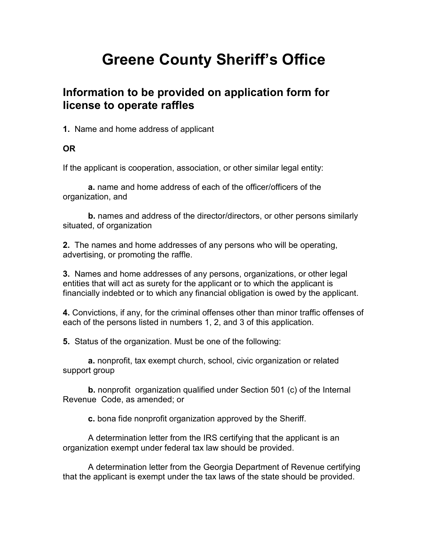# Greene County Sheriff's Office

#### Information to be provided on application form for license to operate raffles

1. Name and home address of applicant

#### OR

If the applicant is cooperation, association, or other similar legal entity:

a. name and home address of each of the officer/officers of the organization, and

b. names and address of the director/directors, or other persons similarly situated, of organization

2. The names and home addresses of any persons who will be operating, advertising, or promoting the raffle.

3. Names and home addresses of any persons, organizations, or other legal entities that will act as surety for the applicant or to which the applicant is financially indebted or to which any financial obligation is owed by the applicant.

4. Convictions, if any, for the criminal offenses other than minor traffic offenses of each of the persons listed in numbers 1, 2, and 3 of this application.

5. Status of the organization. Must be one of the following:

a. nonprofit, tax exempt church, school, civic organization or related support group

b. nonprofit organization qualified under Section 501 (c) of the Internal Revenue Code, as amended; or

c. bona fide nonprofit organization approved by the Sheriff.

 A determination letter from the IRS certifying that the applicant is an organization exempt under federal tax law should be provided.

 A determination letter from the Georgia Department of Revenue certifying that the applicant is exempt under the tax laws of the state should be provided.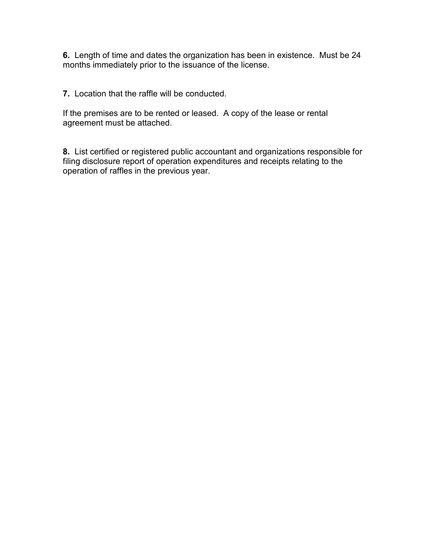6. Length of time and dates the organization has been in existence. Must be 24 months immediately prior to the issuance of the license.

7. Location that the raffle will be conducted.

If the premises are to be rented or leased. A copy of the lease or rental agreement must be attached.

8. List certified or registered public accountant and organizations responsible for filing disclosure report of operation expenditures and receipts relating to the operation of raffles in the previous year.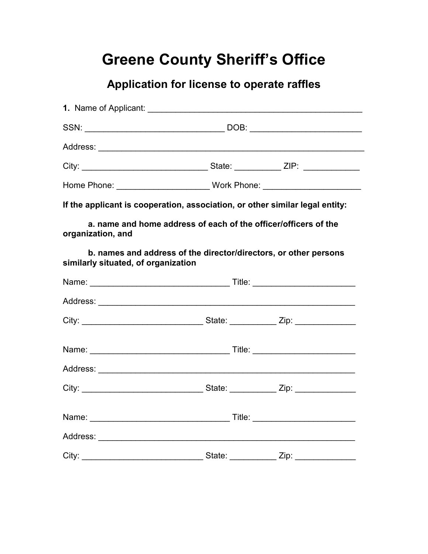# Greene County Sheriff's Office

### Application for license to operate raffles

|                                     | If the applicant is cooperation, association, or other similar legal entity: |  |  |
|-------------------------------------|------------------------------------------------------------------------------|--|--|
| organization, and                   | a. name and home address of each of the officer/officers of the              |  |  |
| similarly situated, of organization | b. names and address of the director/directors, or other persons             |  |  |
|                                     |                                                                              |  |  |
|                                     |                                                                              |  |  |
|                                     |                                                                              |  |  |
|                                     |                                                                              |  |  |
|                                     |                                                                              |  |  |
|                                     |                                                                              |  |  |
|                                     |                                                                              |  |  |
|                                     |                                                                              |  |  |
|                                     |                                                                              |  |  |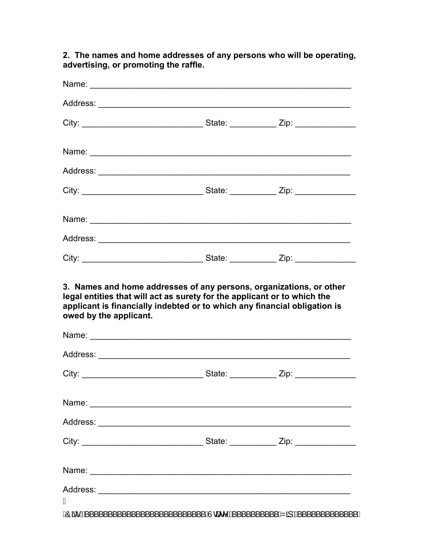Name: <u>with the compact of the compact of the compact of the compact of the compact of the compact of the compact of the compact of the compact of the compact of the compact of the compact of the compact of the compact of </u> Address: \_\_\_\_\_\_\_\_\_\_\_\_\_\_\_\_\_\_\_\_\_\_\_\_\_\_\_\_\_\_\_\_\_\_\_\_\_\_\_\_\_\_\_\_\_\_\_\_\_\_\_\_\_\_ City: \_\_\_\_\_\_\_\_\_\_\_\_\_\_\_\_\_\_\_\_\_\_\_\_\_\_ State: \_\_\_\_\_\_\_\_\_\_ Zip: \_\_\_\_\_\_\_\_\_\_\_\_\_ Name: \_\_\_\_\_\_\_\_\_\_\_\_\_\_\_\_\_\_\_\_\_\_\_\_\_\_\_\_\_\_\_\_\_\_\_\_\_\_\_\_\_\_\_\_\_\_\_\_\_\_\_\_\_\_\_\_ Address: \_\_\_\_\_\_\_\_\_\_\_\_\_\_\_\_\_\_\_\_\_\_\_\_\_\_\_\_\_\_\_\_\_\_\_\_\_\_\_\_\_\_\_\_\_\_\_\_\_\_\_\_\_\_ City: \_\_\_\_\_\_\_\_\_\_\_\_\_\_\_\_\_\_\_\_\_\_\_\_\_\_ State: \_\_\_\_\_\_\_\_\_\_ Zip: \_\_\_\_\_\_\_\_\_\_\_\_\_ Name: \_\_\_\_\_\_\_\_\_\_\_\_\_\_\_\_\_\_\_\_\_\_\_\_\_\_\_\_\_\_\_\_\_\_\_\_\_\_\_\_\_\_\_\_\_\_\_\_\_\_\_\_\_\_\_\_ Address: \_\_\_\_\_\_\_\_\_\_\_\_\_\_\_\_\_\_\_\_\_\_\_\_\_\_\_\_\_\_\_\_\_\_\_\_\_\_\_\_\_\_\_\_\_\_\_\_\_\_\_\_\_\_ City: \_\_\_\_\_\_\_\_\_\_\_\_\_\_\_\_\_\_\_\_\_\_\_\_\_\_ State: \_\_\_\_\_\_\_\_\_\_ Zip: \_\_\_\_\_\_\_\_\_\_\_\_\_ 3. Names and home addresses of any persons, organizations, or other legal entities that will act as surety for the applicant or to which the applicant is financially indebted or to which any financial obligation is owed by the applicant. Name: \_\_\_\_\_\_\_\_\_\_\_\_\_\_\_\_\_\_\_\_\_\_\_\_\_\_\_\_\_\_\_\_\_\_\_\_\_\_\_\_\_\_\_\_\_\_\_\_\_\_\_\_\_\_\_\_ Address: \_\_\_\_\_\_\_\_\_\_\_\_\_\_\_\_\_\_\_\_\_\_\_\_\_\_\_\_\_\_\_\_\_\_\_\_\_\_\_\_\_\_\_\_\_\_\_\_\_\_\_\_\_\_ City: \_\_\_\_\_\_\_\_\_\_\_\_\_\_\_\_\_\_\_\_\_\_\_\_\_\_ State: \_\_\_\_\_\_\_\_\_\_ Zip: \_\_\_\_\_\_\_\_\_\_\_\_\_  $Name:$ Address: \_\_\_\_\_\_\_\_\_\_\_\_\_\_\_\_\_\_\_\_\_\_\_\_\_\_\_\_\_\_\_\_\_\_\_\_\_\_\_\_\_\_\_\_\_\_\_\_\_\_\_\_\_\_ City: \_\_\_\_\_\_\_\_\_\_\_\_\_\_\_\_\_\_\_\_\_\_\_\_\_\_ State: \_\_\_\_\_\_\_\_\_\_ Zip: \_\_\_\_\_\_\_\_\_\_\_\_\_ Name: \_\_\_\_\_\_\_\_\_\_\_\_\_\_\_\_\_\_\_\_\_\_\_\_\_\_\_\_\_\_\_\_\_\_\_\_\_\_\_\_\_\_\_\_\_\_\_\_\_\_\_\_\_\_\_\_ Address: \_\_\_\_\_\_\_\_\_\_\_\_\_\_\_\_\_\_\_\_\_\_\_\_\_\_\_\_\_\_\_\_\_\_\_\_\_\_\_\_\_\_\_\_\_\_\_\_\_\_\_\_\_\_ Á ADER KAR LUIT LUIT LUIT LUIT LUIT LA LUISSE AUGUST KARRISTEN LA LUIT LA LUIT LA LUIT LUIT LA LUIT LA LUIT LA L

2. The names and home addresses of any persons who will be operating,

advertising, or promoting the raffle.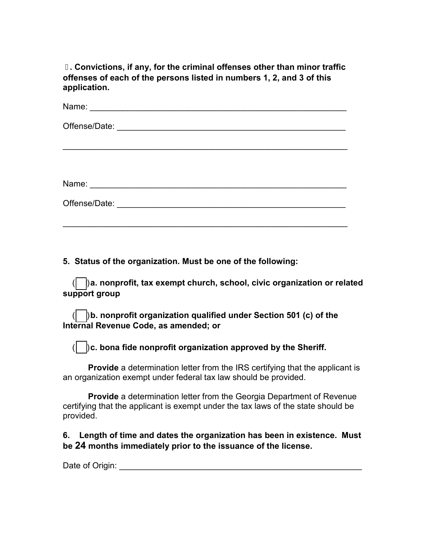. Convictions, if any, for the criminal offenses other than minor traffic offenses of each of the persons listed in numbers 1, 2, and 3 of this application.

| Name:                                                         |
|---------------------------------------------------------------|
|                                                               |
|                                                               |
|                                                               |
|                                                               |
| Name:<br><u> 1980 - Jan Barnett, fransk politik (d. 1980)</u> |
| Offense/Date:<br><u> 1980 - Jan Barat, martin amerikan ba</u> |
|                                                               |

\_\_\_\_\_\_\_\_\_\_\_\_\_\_\_\_\_\_\_\_\_\_\_\_\_\_\_\_\_\_\_\_\_\_\_\_\_\_\_\_\_\_\_\_\_\_\_\_\_\_\_\_\_\_\_\_\_\_\_\_\_

5. Status of the organization. Must be one of the following:

 $\beta$ a. nonprofit, tax exempt church, school, civic organization or related support group

 $\parallel$   $\parallel$  b. nonprofit organization qualified under Section 501 (c) of the Internal Revenue Code, as amended; or

 $\beta$ c. bona fide nonprofit organization approved by the Sheriff.

**Provide** a determination letter from the IRS certifying that the applicant is an organization exempt under federal tax law should be provided.

 Provide a determination letter from the Georgia Department of Revenue certifying that the applicant is exempt under the tax laws of the state should be provided.

6. Length of time and dates the organization has been in existence. Must be 24 months immediately prior to the issuance of the license.

Date of Origin: **Date of Origin**: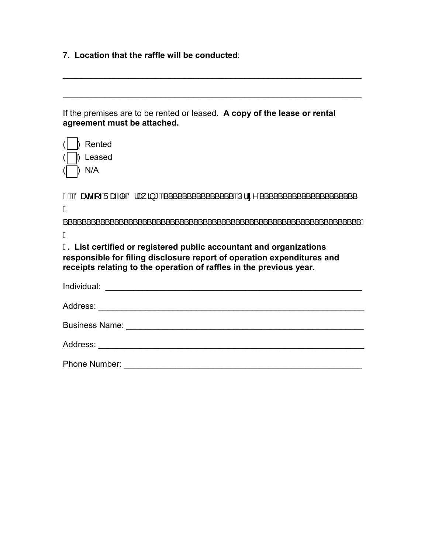7. Location that the raffle will be conducted:

| If the premises are to be rented or leased. A copy of the lease or rental |  |
|---------------------------------------------------------------------------|--|
| agreement must be attached.                                               |  |

 $\mathcal{L}_\mathcal{L} = \mathcal{L}_\mathcal{L} = \mathcal{L}_\mathcal{L} = \mathcal{L}_\mathcal{L} = \mathcal{L}_\mathcal{L} = \mathcal{L}_\mathcal{L} = \mathcal{L}_\mathcal{L} = \mathcal{L}_\mathcal{L} = \mathcal{L}_\mathcal{L} = \mathcal{L}_\mathcal{L} = \mathcal{L}_\mathcal{L} = \mathcal{L}_\mathcal{L} = \mathcal{L}_\mathcal{L} = \mathcal{L}_\mathcal{L} = \mathcal{L}_\mathcal{L} = \mathcal{L}_\mathcal{L} = \mathcal{L}_\mathcal{L}$ 

\_\_\_\_\_\_\_\_\_\_\_\_\_\_\_\_\_\_\_\_\_\_\_\_\_\_\_\_\_\_\_\_\_\_\_\_\_\_\_\_\_\_\_\_\_\_\_\_\_\_\_\_\_\_\_\_\_\_\_\_\_\_\_\_

| Rented                                                                                                                                                                                                                             |
|------------------------------------------------------------------------------------------------------------------------------------------------------------------------------------------------------------------------------------|
| A Leased                                                                                                                                                                                                                           |
| N/A                                                                                                                                                                                                                                |
| 1 BIO and A Juan A Juan 3 * A ( ( ) ) = 1 A ( ) = 1 A ( ) = 1 A ( ) = 1 A ( ) = 1 A ( ) = 1 A ( ) = 1 A ( ) = 1 A ( ) = 1 A ( ) = 1 A ( ) = 1 A ( ) = 1 A ( ) = 1 A ( ) = 1 A ( ) = 1 A ( ) = 1 A ( ) = 1 A ( ) = 1 A ( ) = 1<br>Á |
| Á                                                                                                                                                                                                                                  |
| J. List certified or registered public accountant and organizations<br>responsible for filing disclosure report of operation expenditures and<br>receipts relating to the operation of raffles in the previous year.               |
|                                                                                                                                                                                                                                    |
|                                                                                                                                                                                                                                    |
|                                                                                                                                                                                                                                    |
|                                                                                                                                                                                                                                    |
|                                                                                                                                                                                                                                    |